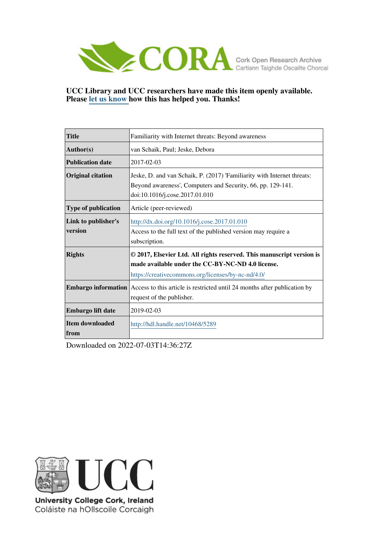

### **UCC Library and UCC researchers have made this item openly available. Please [let us know h](https://libguides.ucc.ie/openaccess/impact?suffix=5289&title=Familiarity with Internet threats: Beyond awareness)ow this has helped you. Thanks!**

| <b>Title</b>                   | Familiarity with Internet threats: Beyond awareness                                                                                                                              |
|--------------------------------|----------------------------------------------------------------------------------------------------------------------------------------------------------------------------------|
| Author(s)                      | van Schaik, Paul; Jeske, Debora                                                                                                                                                  |
| <b>Publication date</b>        | 2017-02-03                                                                                                                                                                       |
| <b>Original citation</b>       | Jeske, D. and van Schaik, P. (2017) 'Familiarity with Internet threats:<br>Beyond awareness', Computers and Security, 66, pp. 129-141.<br>doi:10.1016/j.cose.2017.01.010         |
| <b>Type of publication</b>     | Article (peer-reviewed)                                                                                                                                                          |
| Link to publisher's<br>version | http://dx.doi.org/10.1016/j.cose.2017.01.010<br>Access to the full text of the published version may require a<br>subscription.                                                  |
| <b>Rights</b>                  | © 2017, Elsevier Ltd. All rights reserved. This manuscript version is<br>made available under the CC-BY-NC-ND 4.0 license.<br>https://creativecommons.org/licenses/by-nc-nd/4.0/ |
| <b>Embargo information</b>     | Access to this article is restricted until 24 months after publication by<br>request of the publisher.                                                                           |
| Embargo lift date              | 2019-02-03                                                                                                                                                                       |
| Item downloaded<br>from        | http://hdl.handle.net/10468/5289                                                                                                                                                 |

Downloaded on 2022-07-03T14:36:27Z



University College Cork, Ireland Coláiste na hOllscoile Corcaigh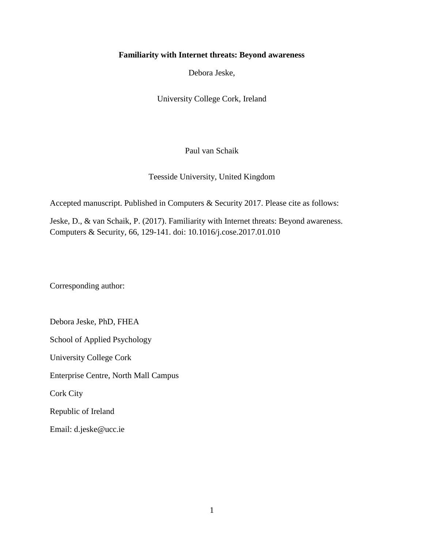### **Familiarity with Internet threats: Beyond awareness**

Debora Jeske,

University College Cork, Ireland

Paul van Schaik

Teesside University, United Kingdom

Accepted manuscript. Published in Computers & Security 2017. Please cite as follows:

Jeske, D., & van Schaik, P. (2017). Familiarity with Internet threats: Beyond awareness. Computers & Security, 66, 129-141. doi: 10.1016/j.cose.2017.01.010

Corresponding author:

Debora Jeske, PhD, FHEA School of Applied Psychology University College Cork Enterprise Centre, North Mall Campus Cork City Republic of Ireland Email: d.jeske@ucc.ie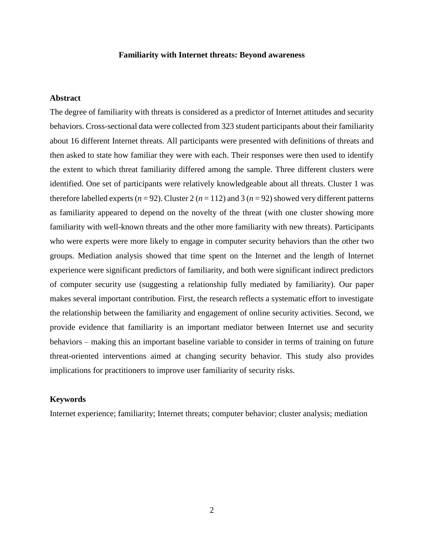### **Familiarity with Internet threats: Beyond awareness**

### **Abstract**

The degree of familiarity with threats is considered as a predictor of Internet attitudes and security behaviors. Cross-sectional data were collected from 323 student participants about their familiarity about 16 different Internet threats. All participants were presented with definitions of threats and then asked to state how familiar they were with each. Their responses were then used to identify the extent to which threat familiarity differed among the sample. Three different clusters were identified. One set of participants were relatively knowledgeable about all threats. Cluster 1 was therefore labelled experts  $(n = 92)$ . Cluster 2  $(n = 112)$  and 3  $(n = 92)$  showed very different patterns as familiarity appeared to depend on the novelty of the threat (with one cluster showing more familiarity with well-known threats and the other more familiarity with new threats). Participants who were experts were more likely to engage in computer security behaviors than the other two groups. Mediation analysis showed that time spent on the Internet and the length of Internet experience were significant predictors of familiarity, and both were significant indirect predictors of computer security use (suggesting a relationship fully mediated by familiarity). Our paper makes several important contribution. First, the research reflects a systematic effort to investigate the relationship between the familiarity and engagement of online security activities. Second, we provide evidence that familiarity is an important mediator between Internet use and security behaviors – making this an important baseline variable to consider in terms of training on future threat-oriented interventions aimed at changing security behavior. This study also provides implications for practitioners to improve user familiarity of security risks.

#### **Keywords**

Internet experience; familiarity; Internet threats; computer behavior; cluster analysis; mediation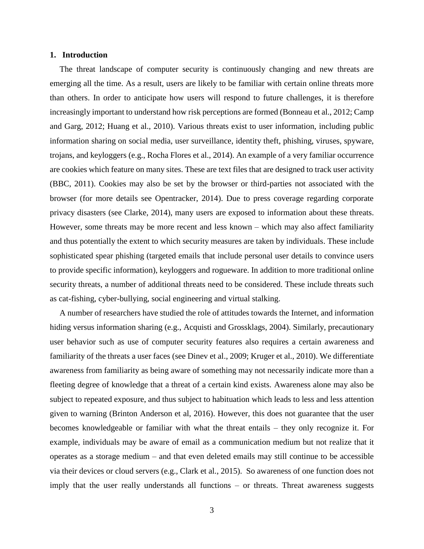### **1. Introduction**

The threat landscape of computer security is continuously changing and new threats are emerging all the time. As a result, users are likely to be familiar with certain online threats more than others. In order to anticipate how users will respond to future challenges, it is therefore increasingly important to understand how risk perceptions are formed (Bonneau et al., 2012; Camp and Garg, 2012; Huang et al., 2010). Various threats exist to user information, including public information sharing on social media, user surveillance, identity theft, phishing, viruses, spyware, trojans, and keyloggers (e.g., Rocha Flores et al., 2014). An example of a very familiar occurrence are cookies which feature on many sites. These are text files that are designed to track user activity (BBC, 2011). Cookies may also be set by the browser or third-parties not associated with the browser (for more details see Opentracker, 2014). Due to press coverage regarding corporate privacy disasters (see Clarke, 2014), many users are exposed to information about these threats. However, some threats may be more recent and less known – which may also affect familiarity and thus potentially the extent to which security measures are taken by individuals. These include sophisticated spear phishing (targeted emails that include personal user details to convince users to provide specific information), keyloggers and rogueware. In addition to more traditional online security threats, a number of additional threats need to be considered. These include threats such as cat-fishing, cyber-bullying, social engineering and virtual stalking.

A number of researchers have studied the role of attitudes towards the Internet, and information hiding versus information sharing (e.g., Acquisti and Grossklags, 2004). Similarly, precautionary user behavior such as use of computer security features also requires a certain awareness and familiarity of the threats a user faces (see Dinev et al., 2009; Kruger et al., 2010). We differentiate awareness from familiarity as being aware of something may not necessarily indicate more than a fleeting degree of knowledge that a threat of a certain kind exists. Awareness alone may also be subject to repeated exposure, and thus subject to habituation which leads to less and less attention given to warning (Brinton Anderson et al, 2016). However, this does not guarantee that the user becomes knowledgeable or familiar with what the threat entails – they only recognize it. For example, individuals may be aware of email as a communication medium but not realize that it operates as a storage medium – and that even deleted emails may still continue to be accessible via their devices or cloud servers (e.g., Clark et al., 2015). So awareness of one function does not imply that the user really understands all functions – or threats. Threat awareness suggests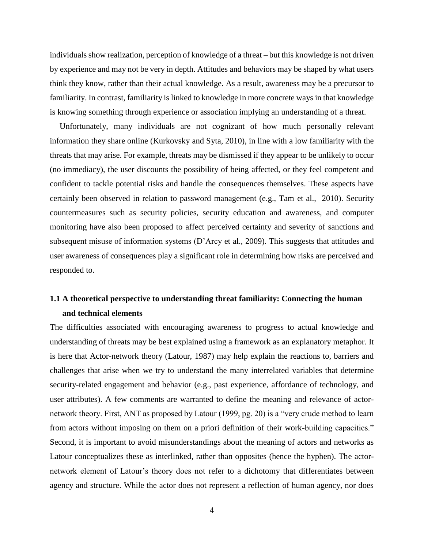individuals show realization, perception of knowledge of a threat – but this knowledge is not driven by experience and may not be very in depth. Attitudes and behaviors may be shaped by what users think they know, rather than their actual knowledge. As a result, awareness may be a precursor to familiarity. In contrast, familiarity is linked to knowledge in more concrete ways in that knowledge is knowing something through experience or association implying an understanding of a threat.

Unfortunately, many individuals are not cognizant of how much personally relevant information they share online (Kurkovsky and Syta, 2010), in line with a low familiarity with the threats that may arise. For example, threats may be dismissed if they appear to be unlikely to occur (no immediacy), the user discounts the possibility of being affected, or they feel competent and confident to tackle potential risks and handle the consequences themselves. These aspects have certainly been observed in relation to password management (e.g., Tam et al., 2010). Security countermeasures such as security policies, security education and awareness, and computer monitoring have also been proposed to affect perceived certainty and severity of sanctions and subsequent misuse of information systems (D'Arcy et al., 2009). This suggests that attitudes and user awareness of consequences play a significant role in determining how risks are perceived and responded to.

# **1.1 A theoretical perspective to understanding threat familiarity: Connecting the human and technical elements**

The difficulties associated with encouraging awareness to progress to actual knowledge and understanding of threats may be best explained using a framework as an explanatory metaphor. It is here that Actor-network theory (Latour, 1987) may help explain the reactions to, barriers and challenges that arise when we try to understand the many interrelated variables that determine security-related engagement and behavior (e.g., past experience, affordance of technology, and user attributes). A few comments are warranted to define the meaning and relevance of actornetwork theory. First, ANT as proposed by Latour (1999, pg. 20) is a "very crude method to learn from actors without imposing on them on a priori definition of their work-building capacities." Second, it is important to avoid misunderstandings about the meaning of actors and networks as Latour conceptualizes these as interlinked, rather than opposites (hence the hyphen). The actornetwork element of Latour's theory does not refer to a dichotomy that differentiates between agency and structure. While the actor does not represent a reflection of human agency, nor does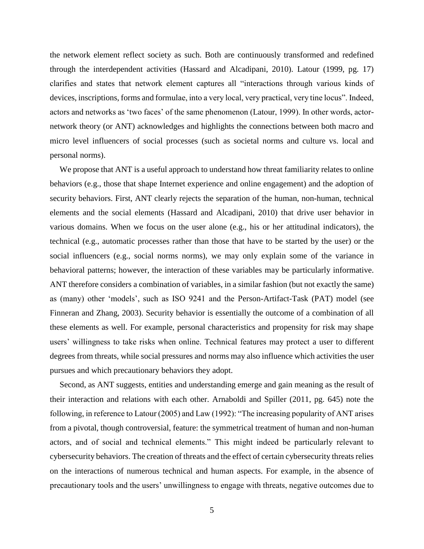the network element reflect society as such. Both are continuously transformed and redefined through the interdependent activities (Hassard and Alcadipani, 2010). Latour (1999, pg. 17) clarifies and states that network element captures all "interactions through various kinds of devices, inscriptions, forms and formulae, into a very local, very practical, very tine locus". Indeed, actors and networks as 'two faces' of the same phenomenon (Latour, 1999). In other words, actornetwork theory (or ANT) acknowledges and highlights the connections between both macro and micro level influencers of social processes (such as societal norms and culture vs. local and personal norms).

We propose that ANT is a useful approach to understand how threat familiarity relates to online behaviors (e.g., those that shape Internet experience and online engagement) and the adoption of security behaviors. First, ANT clearly rejects the separation of the human, non-human, technical elements and the social elements (Hassard and Alcadipani, 2010) that drive user behavior in various domains. When we focus on the user alone (e.g., his or her attitudinal indicators), the technical (e.g., automatic processes rather than those that have to be started by the user) or the social influencers (e.g., social norms norms), we may only explain some of the variance in behavioral patterns; however, the interaction of these variables may be particularly informative. ANT therefore considers a combination of variables, in a similar fashion (but not exactly the same) as (many) other 'models', such as ISO 9241 and the Person-Artifact-Task (PAT) model (see Finneran and Zhang, 2003). Security behavior is essentially the outcome of a combination of all these elements as well. For example, personal characteristics and propensity for risk may shape users' willingness to take risks when online. Technical features may protect a user to different degrees from threats, while social pressures and norms may also influence which activities the user pursues and which precautionary behaviors they adopt.

Second, as ANT suggests, entities and understanding emerge and gain meaning as the result of their interaction and relations with each other. Arnaboldi and Spiller (2011, pg. 645) note the following, in reference to Latour (2005) and Law (1992): "The increasing popularity of ANT arises from a pivotal, though controversial, feature: the symmetrical treatment of human and non-human actors, and of social and technical elements." This might indeed be particularly relevant to cybersecurity behaviors. The creation of threats and the effect of certain cybersecurity threats relies on the interactions of numerous technical and human aspects. For example, in the absence of precautionary tools and the users' unwillingness to engage with threats, negative outcomes due to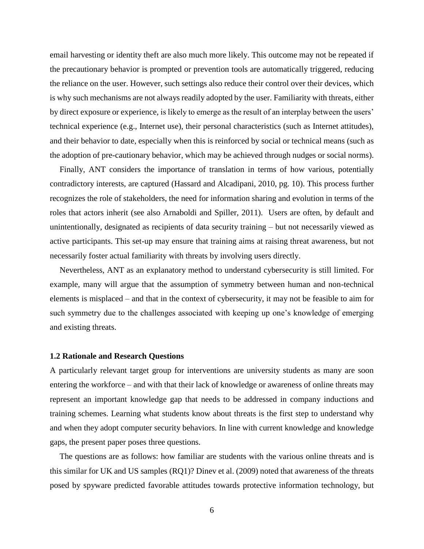email harvesting or identity theft are also much more likely. This outcome may not be repeated if the precautionary behavior is prompted or prevention tools are automatically triggered, reducing the reliance on the user. However, such settings also reduce their control over their devices, which is why such mechanisms are not always readily adopted by the user. Familiarity with threats, either by direct exposure or experience, is likely to emerge as the result of an interplay between the users' technical experience (e.g., Internet use), their personal characteristics (such as Internet attitudes), and their behavior to date, especially when this is reinforced by social or technical means (such as the adoption of pre-cautionary behavior, which may be achieved through nudges or social norms).

Finally, ANT considers the importance of translation in terms of how various, potentially contradictory interests, are captured (Hassard and Alcadipani, 2010, pg. 10). This process further recognizes the role of stakeholders, the need for information sharing and evolution in terms of the roles that actors inherit (see also Arnaboldi and Spiller, 2011). Users are often, by default and unintentionally, designated as recipients of data security training – but not necessarily viewed as active participants. This set-up may ensure that training aims at raising threat awareness, but not necessarily foster actual familiarity with threats by involving users directly.

Nevertheless, ANT as an explanatory method to understand cybersecurity is still limited. For example, many will argue that the assumption of symmetry between human and non-technical elements is misplaced – and that in the context of cybersecurity, it may not be feasible to aim for such symmetry due to the challenges associated with keeping up one's knowledge of emerging and existing threats.

### **1.2 Rationale and Research Questions**

A particularly relevant target group for interventions are university students as many are soon entering the workforce – and with that their lack of knowledge or awareness of online threats may represent an important knowledge gap that needs to be addressed in company inductions and training schemes. Learning what students know about threats is the first step to understand why and when they adopt computer security behaviors. In line with current knowledge and knowledge gaps, the present paper poses three questions.

The questions are as follows: how familiar are students with the various online threats and is this similar for UK and US samples (RQ1)? Dinev et al. (2009) noted that awareness of the threats posed by spyware predicted favorable attitudes towards protective information technology, but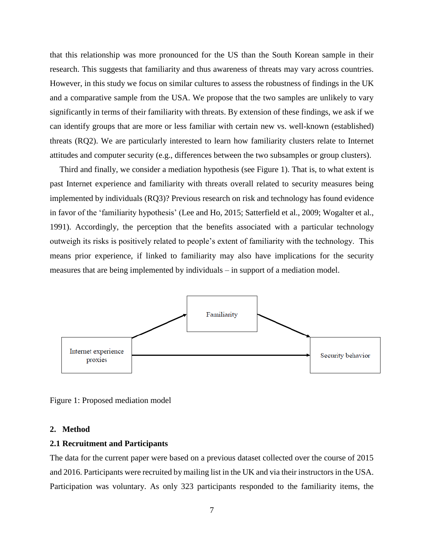that this relationship was more pronounced for the US than the South Korean sample in their research. This suggests that familiarity and thus awareness of threats may vary across countries. However, in this study we focus on similar cultures to assess the robustness of findings in the UK and a comparative sample from the USA. We propose that the two samples are unlikely to vary significantly in terms of their familiarity with threats. By extension of these findings, we ask if we can identify groups that are more or less familiar with certain new vs. well-known (established) threats (RQ2). We are particularly interested to learn how familiarity clusters relate to Internet attitudes and computer security (e.g., differences between the two subsamples or group clusters).

Third and finally, we consider a mediation hypothesis (see Figure 1). That is, to what extent is past Internet experience and familiarity with threats overall related to security measures being implemented by individuals (RQ3)? Previous research on risk and technology has found evidence in favor of the 'familiarity hypothesis' (Lee and Ho, 2015; Satterfield et al., 2009; Wogalter et al., 1991). Accordingly, the perception that the benefits associated with a particular technology outweigh its risks is positively related to people's extent of familiarity with the technology. This means prior experience, if linked to familiarity may also have implications for the security measures that are being implemented by individuals – in support of a mediation model.



Figure 1: Proposed mediation model

### **2. Method**

### **2.1 Recruitment and Participants**

The data for the current paper were based on a previous dataset collected over the course of 2015 and 2016. Participants were recruited by mailing list in the UK and via their instructors in the USA. Participation was voluntary. As only 323 participants responded to the familiarity items, the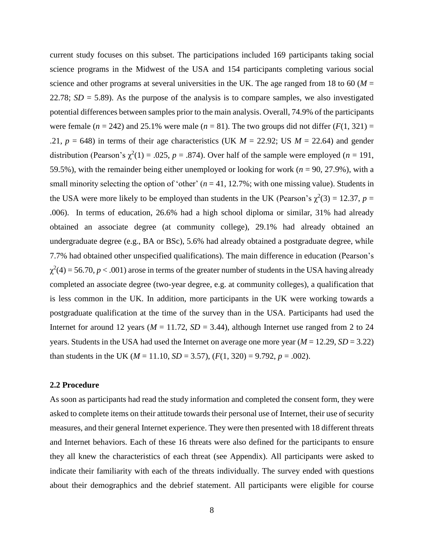current study focuses on this subset. The participations included 169 participants taking social science programs in the Midwest of the USA and 154 participants completing various social science and other programs at several universities in the UK. The age ranged from 18 to 60 ( $M =$ 22.78;  $SD = 5.89$ ). As the purpose of the analysis is to compare samples, we also investigated potential differences between samples prior to the main analysis. Overall, 74.9% of the participants were female  $(n = 242)$  and 25.1% were male  $(n = 81)$ . The two groups did not differ  $(F(1, 321) =$ .21,  $p = 648$ ) in terms of their age characteristics (UK  $M = 22.92$ ; US  $M = 22.64$ ) and gender distribution (Pearson's  $\chi^2(1) = .025$ ,  $p = .874$ ). Over half of the sample were employed (*n* = 191, 59.5%), with the remainder being either unemployed or looking for work (*n* = 90, 27.9%), with a small minority selecting the option of 'other'  $(n = 41, 12.7\%)$ ; with one missing value). Students in the USA were more likely to be employed than students in the UK (Pearson's  $\chi^2(3) = 12.37$ ,  $p =$ .006). In terms of education, 26.6% had a high school diploma or similar, 31% had already obtained an associate degree (at community college), 29.1% had already obtained an undergraduate degree (e.g., BA or BSc), 5.6% had already obtained a postgraduate degree, while 7.7% had obtained other unspecified qualifications). The main difference in education (Pearson's  $\chi^2(4)$  = 56.70, *p* < .001) arose in terms of the greater number of students in the USA having already completed an associate degree (two-year degree, e.g. at community colleges), a qualification that is less common in the UK. In addition, more participants in the UK were working towards a postgraduate qualification at the time of the survey than in the USA. Participants had used the Internet for around 12 years ( $M = 11.72$ ,  $SD = 3.44$ ), although Internet use ranged from 2 to 24 years. Students in the USA had used the Internet on average one more year  $(M = 12.29, SD = 3.22)$ than students in the UK ( $M = 11.10$ ,  $SD = 3.57$ ), ( $F(1, 320) = 9.792$ ,  $p = .002$ ).

### **2.2 Procedure**

As soon as participants had read the study information and completed the consent form, they were asked to complete items on their attitude towards their personal use of Internet, their use of security measures, and their general Internet experience. They were then presented with 18 different threats and Internet behaviors. Each of these 16 threats were also defined for the participants to ensure they all knew the characteristics of each threat (see Appendix). All participants were asked to indicate their familiarity with each of the threats individually. The survey ended with questions about their demographics and the debrief statement. All participants were eligible for course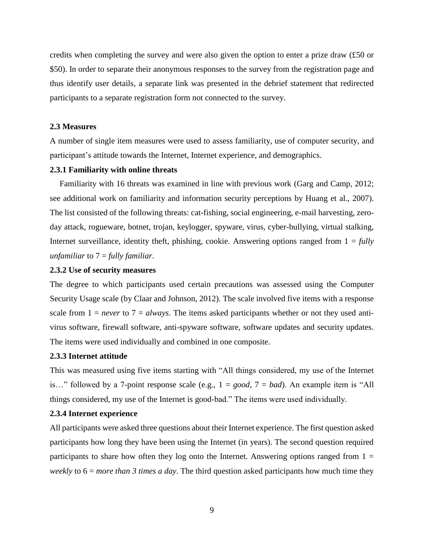credits when completing the survey and were also given the option to enter a prize draw (£50 or \$50). In order to separate their anonymous responses to the survey from the registration page and thus identify user details, a separate link was presented in the debrief statement that redirected participants to a separate registration form not connected to the survey.

### **2.3 Measures**

A number of single item measures were used to assess familiarity, use of computer security, and participant's attitude towards the Internet, Internet experience, and demographics.

### **2.3.1 Familiarity with online threats**

Familiarity with 16 threats was examined in line with previous work (Garg and Camp, 2012; see additional work on familiarity and information security perceptions by Huang et al., 2007). The list consisted of the following threats: cat-fishing, social engineering, e-mail harvesting, zeroday attack, rogueware, botnet, trojan, keylogger, spyware, virus, cyber-bullying, virtual stalking, Internet surveillance, identity theft, phishing, cookie. Answering options ranged from 1 = *fully unfamiliar* to 7 = *fully familiar*.

### **2.3.2 Use of security measures**

The degree to which participants used certain precautions was assessed using the Computer Security Usage scale (by Claar and Johnson, 2012). The scale involved five items with a response scale from  $1 = never$  to  $7 = always$ . The items asked participants whether or not they used antivirus software, firewall software, anti-spyware software, software updates and security updates. The items were used individually and combined in one composite.

### **2.3.3 Internet attitude**

This was measured using five items starting with "All things considered, my use of the Internet is…" followed by a 7-point response scale (e.g., 1 = *good*, 7 = *bad*). An example item is "All things considered, my use of the Internet is good-bad." The items were used individually.

### **2.3.4 Internet experience**

All participants were asked three questions about their Internet experience. The first question asked participants how long they have been using the Internet (in years). The second question required participants to share how often they log onto the Internet. Answering options ranged from  $1 =$ *weekly* to  $6 = more than 3 times a day.$  The third question asked participants how much time they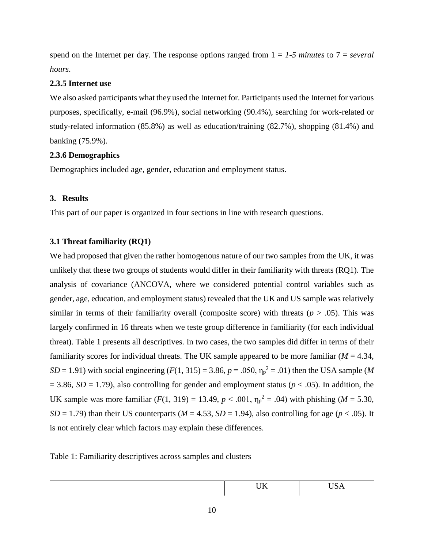spend on the Internet per day. The response options ranged from 1 = *1-5 minutes* to 7 = *several hours*.

### **2.3.5 Internet use**

We also asked participants what they used the Internet for. Participants used the Internet for various purposes, specifically, e-mail (96.9%), social networking (90.4%), searching for work-related or study-related information (85.8%) as well as education/training (82.7%), shopping (81.4%) and banking (75.9%).

### **2.3.6 Demographics**

Demographics included age, gender, education and employment status.

# **3. Results**

This part of our paper is organized in four sections in line with research questions.

# **3.1 Threat familiarity (RQ1)**

We had proposed that given the rather homogenous nature of our two samples from the UK, it was unlikely that these two groups of students would differ in their familiarity with threats (RQ1). The analysis of covariance (ANCOVA, where we considered potential control variables such as gender, age, education, and employment status) revealed that the UK and US sample was relatively similar in terms of their familiarity overall (composite score) with threats ( $p > .05$ ). This was largely confirmed in 16 threats when we teste group difference in familiarity (for each individual threat). Table 1 presents all descriptives. In two cases, the two samples did differ in terms of their familiarity scores for individual threats. The UK sample appeared to be more familiar (*M* = 4.34, *SD* = 1.91) with social engineering (*F*(1, 315) = 3.86, *p* = .050,  $\eta_p^2$  = .01) then the USA sample (*M*  $= 3.86$ , *SD* = 1.79), also controlling for gender and employment status ( $p < .05$ ). In addition, the UK sample was more familiar  $(F(1, 319) = 13.49, p < .001, \eta_p^2 = .04)$  with phishing (*M* = 5.30, *SD* = 1.79) than their US counterparts ( $M = 4.53$ ,  $SD = 1.94$ ), also controlling for age ( $p < .05$ ). It is not entirely clear which factors may explain these differences.

Table 1: Familiarity descriptives across samples and clusters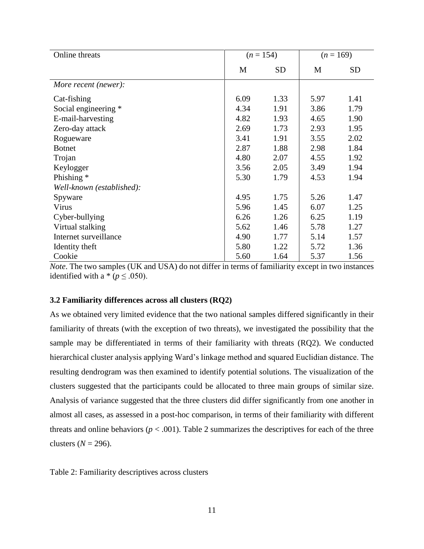| Online threats            |      | $(n = 154)$ | $(n = 169)$ |           |  |
|---------------------------|------|-------------|-------------|-----------|--|
|                           | M    | <b>SD</b>   | M           | <b>SD</b> |  |
| More recent (newer):      |      |             |             |           |  |
| Cat-fishing               | 6.09 | 1.33        | 5.97        | 1.41      |  |
| Social engineering *      | 4.34 | 1.91        | 3.86        | 1.79      |  |
| E-mail-harvesting         | 4.82 | 1.93        | 4.65        | 1.90      |  |
| Zero-day attack           | 2.69 | 1.73        | 2.93        | 1.95      |  |
| Rogueware                 | 3.41 | 1.91        | 3.55        | 2.02      |  |
| <b>Botnet</b>             | 2.87 | 1.88        | 2.98        | 1.84      |  |
| Trojan                    | 4.80 | 2.07        | 4.55        | 1.92      |  |
| Keylogger                 | 3.56 | 2.05        | 3.49        | 1.94      |  |
| Phishing *                | 5.30 | 1.79        | 4.53        | 1.94      |  |
| Well-known (established): |      |             |             |           |  |
| Spyware                   | 4.95 | 1.75        | 5.26        | 1.47      |  |
| Virus                     | 5.96 | 1.45        | 6.07        | 1.25      |  |
| Cyber-bullying            | 6.26 | 1.26        | 6.25        | 1.19      |  |
| Virtual stalking          | 5.62 | 1.46        | 5.78        | 1.27      |  |
| Internet surveillance     | 4.90 | 1.77        | 5.14        | 1.57      |  |
| Identity theft            | 5.80 | 1.22        | 5.72        | 1.36      |  |
| Cookie                    | 5.60 | 1.64        | 5.37        | 1.56      |  |

*Note*. The two samples (UK and USA) do not differ in terms of familiarity except in two instances identified with a  $*(p \le .050)$ .

### **3.2 Familiarity differences across all clusters (RQ2)**

As we obtained very limited evidence that the two national samples differed significantly in their familiarity of threats (with the exception of two threats), we investigated the possibility that the sample may be differentiated in terms of their familiarity with threats (RQ2). We conducted hierarchical cluster analysis applying Ward's linkage method and squared Euclidian distance. The resulting dendrogram was then examined to identify potential solutions. The visualization of the clusters suggested that the participants could be allocated to three main groups of similar size. Analysis of variance suggested that the three clusters did differ significantly from one another in almost all cases, as assessed in a post-hoc comparison, in terms of their familiarity with different threats and online behaviors ( $p < .001$ ). Table 2 summarizes the descriptives for each of the three clusters  $(N = 296)$ .

Table 2: Familiarity descriptives across clusters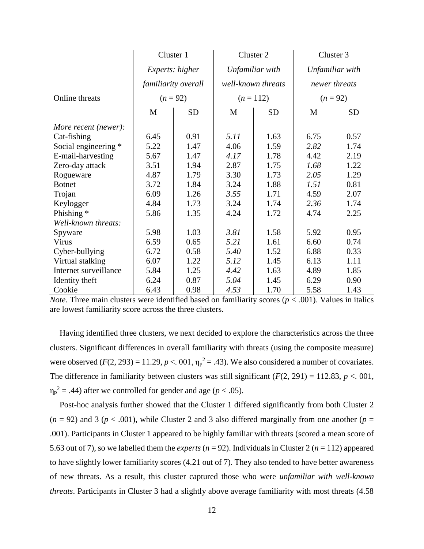|                       | Cluster 1           |                             | Cluster 2 |                    | Cluster 3       |           |  |
|-----------------------|---------------------|-----------------------------|-----------|--------------------|-----------------|-----------|--|
|                       | Experts: higher     |                             |           | Unfamiliar with    | Unfamiliar with |           |  |
|                       | familiarity overall |                             |           | well-known threats | newer threats   |           |  |
| Online threats        | $(n = 92)$          |                             |           | $(n = 112)$        | $(n = 92)$      |           |  |
|                       | M                   | <b>SD</b><br><b>SD</b><br>M |           |                    | M               | <b>SD</b> |  |
| More recent (newer):  |                     |                             |           |                    |                 |           |  |
| Cat-fishing           | 6.45                | 0.91                        | 5.11      | 1.63               | 6.75            | 0.57      |  |
| Social engineering *  | 5.22                | 1.47                        | 4.06      | 1.59               | 2.82            | 1.74      |  |
| E-mail-harvesting     | 5.67                | 1.47                        | 4.17      | 1.78               | 4.42            | 2.19      |  |
| Zero-day attack       | 3.51                | 1.94                        | 2.87      | 1.75               | 1.68            | 1.22      |  |
| Rogueware             | 4.87                | 1.79                        | 3.30      | 1.73               | 2.05            | 1.29      |  |
| <b>Botnet</b>         | 3.72                | 1.84                        | 3.24      | 1.88               | 1.51            | 0.81      |  |
| Trojan                | 6.09                | 1.26                        | 3.55      | 1.71               | 4.59            | 2.07      |  |
| Keylogger             | 4.84                | 1.73                        | 3.24      | 1.74               | 2.36            | 1.74      |  |
| Phishing *            | 5.86                | 1.35                        | 4.24      | 1.72               | 4.74            | 2.25      |  |
| Well-known threats:   |                     |                             |           |                    |                 |           |  |
| Spyware               | 5.98                | 1.03                        | 3.81      | 1.58               | 5.92            | 0.95      |  |
| Virus                 | 6.59                | 0.65                        | 5.21      | 1.61               | 6.60            | 0.74      |  |
| Cyber-bullying        | 6.72                | 0.58                        | 5.40      | 1.52               | 6.88            | 0.33      |  |
| Virtual stalking      | 6.07<br>1.22        |                             | 5.12      | 1.45               | 6.13            | 1.11      |  |
| Internet surveillance | 5.84                | 1.25                        | 4.42      | 1.63               | 4.89            | 1.85      |  |
| Identity theft        | 6.24                | 0.87                        | 5.04      | 1.45               | 6.29            | 0.90      |  |
| Cookie                | 6.43                | 0.98                        | 4.53      | 1.70               | 5.58            | 1.43      |  |

| <i>Note</i> . Three main clusters were identified based on familiarity scores ( $p < .001$ ). Values in italics |  |  |  |  |  |
|-----------------------------------------------------------------------------------------------------------------|--|--|--|--|--|
| are lowest familiarity score across the three clusters.                                                         |  |  |  |  |  |

Having identified three clusters, we next decided to explore the characteristics across the three clusters. Significant differences in overall familiarity with threats (using the composite measure) were observed  $(F(2, 293) = 11.29, p < 0.01, \eta_p^2 = .43)$ . We also considered a number of covariates. The difference in familiarity between clusters was still significant  $(F(2, 291) = 112.83, p < .001,$  $\eta_p^2 = .44$ ) after we controlled for gender and age ( $p < .05$ ).

Post-hoc analysis further showed that the Cluster 1 differed significantly from both Cluster 2  $(n = 92)$  and 3 ( $p < .001$ ), while Cluster 2 and 3 also differed marginally from one another ( $p =$ .001). Participants in Cluster 1 appeared to be highly familiar with threats (scored a mean score of 5.63 out of 7), so we labelled them the *experts*  $(n = 92)$ . Individuals in Cluster 2  $(n = 112)$  appeared to have slightly lower familiarity scores (4.21 out of 7). They also tended to have better awareness of new threats. As a result, this cluster captured those who were *unfamiliar with well-known threats*. Participants in Cluster 3 had a slightly above average familiarity with most threats (4.58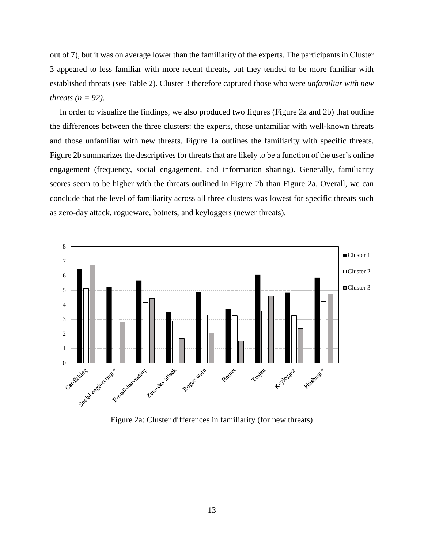out of 7), but it was on average lower than the familiarity of the experts. The participants in Cluster 3 appeared to less familiar with more recent threats, but they tended to be more familiar with established threats (see Table 2). Cluster 3 therefore captured those who were *unfamiliar with new threats (n = 92)*.

In order to visualize the findings, we also produced two figures (Figure 2a and 2b) that outline the differences between the three clusters: the experts, those unfamiliar with well-known threats and those unfamiliar with new threats. Figure 1a outlines the familiarity with specific threats. Figure 2b summarizes the descriptives for threats that are likely to be a function of the user's online engagement (frequency, social engagement, and information sharing). Generally, familiarity scores seem to be higher with the threats outlined in Figure 2b than Figure 2a. Overall, we can conclude that the level of familiarity across all three clusters was lowest for specific threats such as zero-day attack, rogueware, botnets, and keyloggers (newer threats).



Figure 2a: Cluster differences in familiarity (for new threats)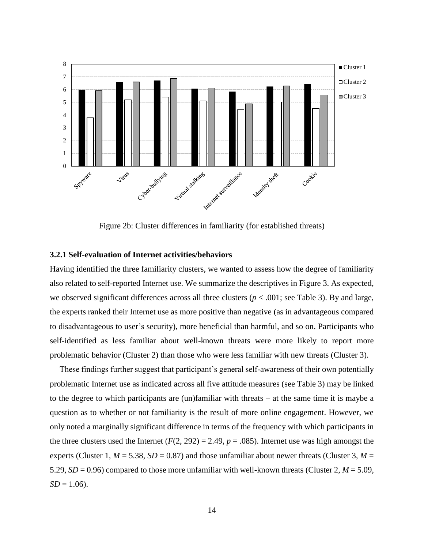

Figure 2b: Cluster differences in familiarity (for established threats)

### **3.2.1 Self-evaluation of Internet activities/behaviors**

Having identified the three familiarity clusters, we wanted to assess how the degree of familiarity also related to self-reported Internet use. We summarize the descriptives in Figure 3. As expected, we observed significant differences across all three clusters ( $p < .001$ ; see Table 3). By and large, the experts ranked their Internet use as more positive than negative (as in advantageous compared to disadvantageous to user's security), more beneficial than harmful, and so on. Participants who self-identified as less familiar about well-known threats were more likely to report more problematic behavior (Cluster 2) than those who were less familiar with new threats (Cluster 3).

These findings further suggest that participant's general self-awareness of their own potentially problematic Internet use as indicated across all five attitude measures (see Table 3) may be linked to the degree to which participants are (un)familiar with threats – at the same time it is maybe a question as to whether or not familiarity is the result of more online engagement. However, we only noted a marginally significant difference in terms of the frequency with which participants in the three clusters used the Internet  $(F(2, 292) = 2.49, p = .085)$ . Internet use was high amongst the experts (Cluster 1,  $M = 5.38$ ,  $SD = 0.87$ ) and those unfamiliar about newer threats (Cluster 3,  $M =$ 5.29,  $SD = 0.96$ ) compared to those more unfamiliar with well-known threats (Cluster 2,  $M = 5.09$ ,  $SD = 1.06$ .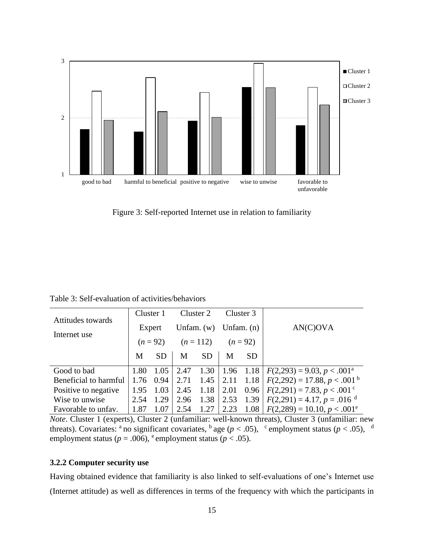

Figure 3: Self-reported Internet use in relation to familiarity

Table 3: Self-evaluation of activities/behaviors

| Attitudes towards     | Cluster 1<br>Expert |           | Cluster 2<br>Unfam. $(w)$ Unfam. $(n)$ |           | Cluster 3     |           | AN(C)OVA                                 |
|-----------------------|---------------------|-----------|----------------------------------------|-----------|---------------|-----------|------------------------------------------|
| Internet use          |                     |           | $(n = 92)$ $(n = 112)$                 |           | $(n=92)$      |           |                                          |
|                       | M                   | <b>SD</b> | M                                      | <b>SD</b> | M             | <b>SD</b> |                                          |
| Good to bad           | 1.80                | 1.05      | 2.47                                   | 1.30      |               | 1.96 1.18 | $F(2,293) = 9.03, p < .001^{\text{a}}$   |
| Beneficial to harmful | 1.76                | 0.94      | 2.71                                   |           | $1.45$   2.11 |           | 1.18   $F(2,292) = 17.88, p < .001^b$    |
| Positive to negative  | 1.95                | 1.03      | 2.45                                   | 1.18      | 2.01          | 0.96      | $F(2,291) = 7.83, p < .001^{\circ}$      |
| Wise to unwise        | 2.54                | 1.29      | 2.96                                   | 1.38      | 2.53          | 1.39      | $F(2,291) = 4.17, p = .016$ <sup>d</sup> |
| Favorable to unfav.   | 1.87                | 1.07      | 2.54                                   | 1.27      | 2.23          |           | 1.08   $F(2,289) = 10.10, p < .001^e$    |

*Note*. Cluster 1 (experts), Cluster 2 (unfamiliar: well-known threats), Cluster 3 (unfamiliar: new threats). Covariates: <sup>a</sup> no significant covariates, <sup>b</sup> age ( $p < .05$ ), <sup>c</sup> employment status ( $p < .05$ ), <sup>d</sup> employment status ( $p = .006$ ), <sup>e</sup> employment status ( $p < .05$ ).

### **3.2.2 Computer security use**

Having obtained evidence that familiarity is also linked to self-evaluations of one's Internet use (Internet attitude) as well as differences in terms of the frequency with which the participants in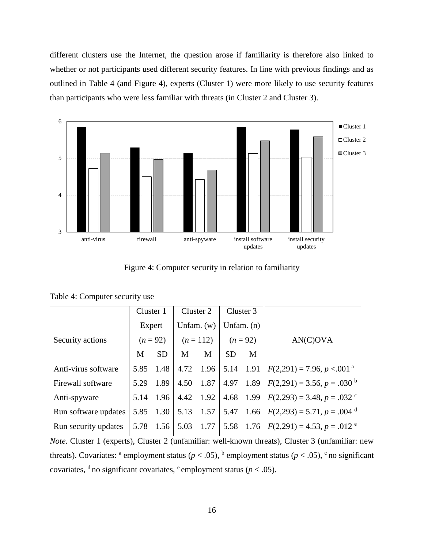different clusters use the Internet, the question arose if familiarity is therefore also linked to whether or not participants used different security features. In line with previous findings and as outlined in Table 4 (and Figure 4), experts (Cluster 1) were more likely to use security features than participants who were less familiar with threats (in Cluster 2 and Cluster 3).



Figure 4: Computer security in relation to familiarity

|                      | Cluster 1 |            |      | Cluster 2         | Cluster 3 |              |                                                       |
|----------------------|-----------|------------|------|-------------------|-----------|--------------|-------------------------------------------------------|
|                      |           | Expert     |      | Unfam. $(w)$      |           | Unfam. $(n)$ |                                                       |
| Security actions     |           | $(n = 92)$ |      | $(n=112)$         |           | $(n = 92)$   | AN(C)OVA                                              |
|                      | M         | <b>SD</b>  | M    | M                 | <b>SD</b> | M            |                                                       |
| Anti-virus software  |           | 5.85 1.48  |      | $4.72 \quad 1.96$ |           |              | 5.14 1.91   $F(2,291) = 7.96, p < 0.001$ <sup>a</sup> |
| Firewall software    | 5.29      | 1.89       | 4.50 | 1.87              |           |              | 4.97 1.89 $F(2,291) = 3.56, p = .030^{b}$             |
| Anti-spyware         |           | 5.14 1.96  |      | 4.42 $1.92$       |           |              | 4.68 1.99 $F(2,293) = 3.48$ , $p = .032$ °            |
| Run software updates | 5.85      | 1.30       |      | 5.13 1.57         |           |              | 5.47 1.66 $F(2,293) = 5.71, p = .004$ <sup>d</sup>    |
| Run security updates | 5.78      | 1.56       |      |                   |           |              | 5.03 1.77 5.58 1.76 $F(2,291) = 4.53, p = .012^e$     |

Table 4: Computer security use

*Note*. Cluster 1 (experts), Cluster 2 (unfamiliar: well-known threats), Cluster 3 (unfamiliar: new threats). Covariates: <sup>a</sup> employment status ( $p < .05$ ), <sup>b</sup> employment status ( $p < .05$ ), <sup>c</sup> no significant covariates, <sup>d</sup> no significant covariates, <sup>e</sup> employment status ( $p < .05$ ).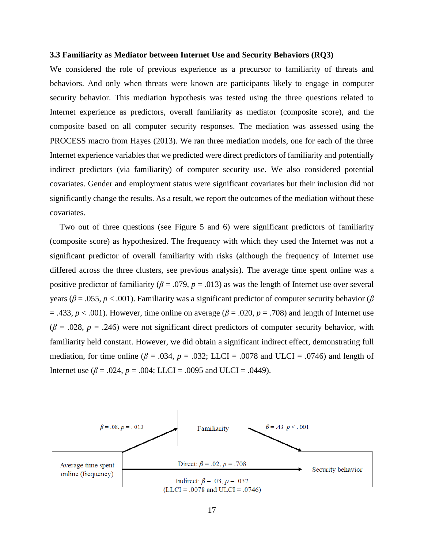### **3.3 Familiarity as Mediator between Internet Use and Security Behaviors (RQ3)**

We considered the role of previous experience as a precursor to familiarity of threats and behaviors. And only when threats were known are participants likely to engage in computer security behavior. This mediation hypothesis was tested using the three questions related to Internet experience as predictors, overall familiarity as mediator (composite score), and the composite based on all computer security responses. The mediation was assessed using the PROCESS macro from Hayes (2013). We ran three mediation models, one for each of the three Internet experience variables that we predicted were direct predictors of familiarity and potentially indirect predictors (via familiarity) of computer security use. We also considered potential covariates. Gender and employment status were significant covariates but their inclusion did not significantly change the results. As a result, we report the outcomes of the mediation without these covariates.

Two out of three questions (see Figure 5 and 6) were significant predictors of familiarity (composite score) as hypothesized. The frequency with which they used the Internet was not a significant predictor of overall familiarity with risks (although the frequency of Internet use differed across the three clusters, see previous analysis). The average time spent online was a positive predictor of familiarity ( $\beta$  = .079,  $p$  = .013) as was the length of Internet use over several years ( $\beta$  = .055, *p* < .001). Familiarity was a significant predictor of computer security behavior ( $\beta$ )  $= .433, p < .001$ ). However, time online on average ( $\beta = .020, p = .708$ ) and length of Internet use  $(\beta = .028, p = .246)$  were not significant direct predictors of computer security behavior, with familiarity held constant. However, we did obtain a significant indirect effect, demonstrating full mediation, for time online ( $\beta$  = .034,  $p$  = .032; LLCI = .0078 and ULCI = .0746) and length of Internet use ( $\beta$  = .024,  $p$  = .004; LLCI = .0095 and ULCI = .0449).

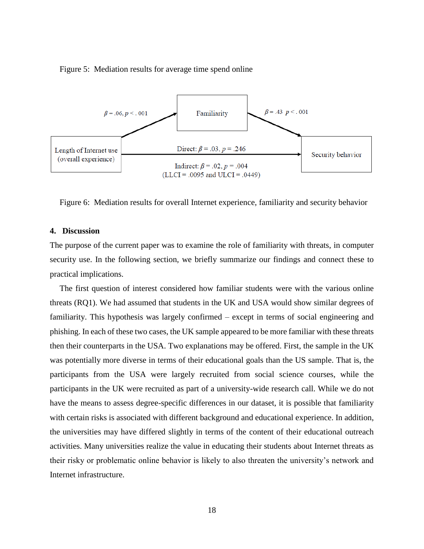Figure 5: Mediation results for average time spend online



Figure 6: Mediation results for overall Internet experience, familiarity and security behavior

### **4. Discussion**

The purpose of the current paper was to examine the role of familiarity with threats, in computer security use. In the following section, we briefly summarize our findings and connect these to practical implications.

The first question of interest considered how familiar students were with the various online threats (RQ1). We had assumed that students in the UK and USA would show similar degrees of familiarity. This hypothesis was largely confirmed – except in terms of social engineering and phishing. In each of these two cases, the UK sample appeared to be more familiar with these threats then their counterparts in the USA. Two explanations may be offered. First, the sample in the UK was potentially more diverse in terms of their educational goals than the US sample. That is, the participants from the USA were largely recruited from social science courses, while the participants in the UK were recruited as part of a university-wide research call. While we do not have the means to assess degree-specific differences in our dataset, it is possible that familiarity with certain risks is associated with different background and educational experience. In addition, the universities may have differed slightly in terms of the content of their educational outreach activities. Many universities realize the value in educating their students about Internet threats as their risky or problematic online behavior is likely to also threaten the university's network and Internet infrastructure.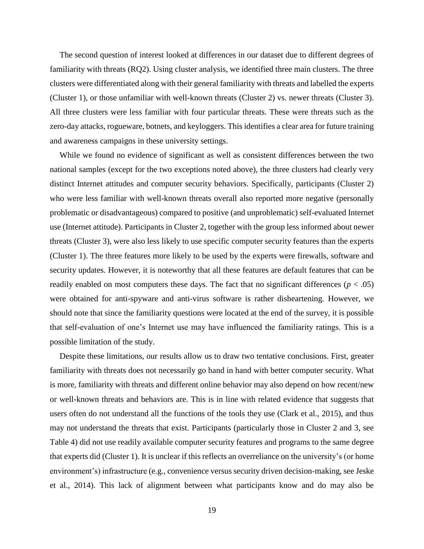The second question of interest looked at differences in our dataset due to different degrees of familiarity with threats (RQ2). Using cluster analysis, we identified three main clusters. The three clusters were differentiated along with their general familiarity with threats and labelled the experts (Cluster 1), or those unfamiliar with well-known threats (Cluster 2) vs. newer threats (Cluster 3). All three clusters were less familiar with four particular threats. These were threats such as the zero-day attacks, rogueware, botnets, and keyloggers. This identifies a clear area for future training and awareness campaigns in these university settings.

While we found no evidence of significant as well as consistent differences between the two national samples (except for the two exceptions noted above), the three clusters had clearly very distinct Internet attitudes and computer security behaviors. Specifically, participants (Cluster 2) who were less familiar with well-known threats overall also reported more negative (personally problematic or disadvantageous) compared to positive (and unproblematic) self-evaluated Internet use (Internet attitude). Participants in Cluster 2, together with the group less informed about newer threats (Cluster 3), were also less likely to use specific computer security features than the experts (Cluster 1). The three features more likely to be used by the experts were firewalls, software and security updates. However, it is noteworthy that all these features are default features that can be readily enabled on most computers these days. The fact that no significant differences ( $p < .05$ ) were obtained for anti-spyware and anti-virus software is rather disheartening. However, we should note that since the familiarity questions were located at the end of the survey, it is possible that self-evaluation of one's Internet use may have influenced the familiarity ratings. This is a possible limitation of the study.

Despite these limitations, our results allow us to draw two tentative conclusions. First, greater familiarity with threats does not necessarily go hand in hand with better computer security. What is more, familiarity with threats and different online behavior may also depend on how recent/new or well-known threats and behaviors are. This is in line with related evidence that suggests that users often do not understand all the functions of the tools they use (Clark et al., 2015), and thus may not understand the threats that exist. Participants (particularly those in Cluster 2 and 3, see Table 4) did not use readily available computer security features and programs to the same degree that experts did (Cluster 1). It is unclear if this reflects an overreliance on the university's (or home environment's) infrastructure (e.g., convenience versus security driven decision-making, see Jeske et al., 2014). This lack of alignment between what participants know and do may also be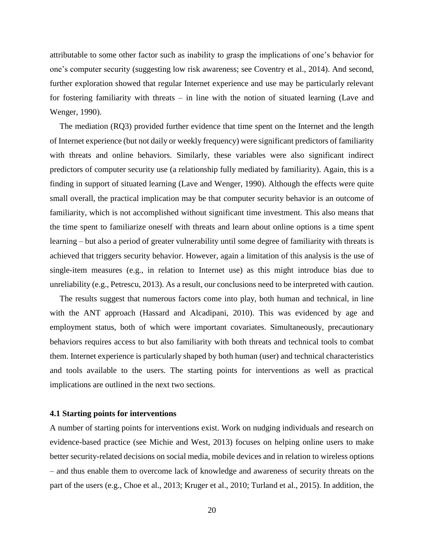attributable to some other factor such as inability to grasp the implications of one's behavior for one's computer security (suggesting low risk awareness; see Coventry et al., 2014). And second, further exploration showed that regular Internet experience and use may be particularly relevant for fostering familiarity with threats – in line with the notion of situated learning (Lave and Wenger, 1990).

The mediation (RQ3) provided further evidence that time spent on the Internet and the length of Internet experience (but not daily or weekly frequency) were significant predictors of familiarity with threats and online behaviors. Similarly, these variables were also significant indirect predictors of computer security use (a relationship fully mediated by familiarity). Again, this is a finding in support of situated learning (Lave and Wenger, 1990). Although the effects were quite small overall, the practical implication may be that computer security behavior is an outcome of familiarity, which is not accomplished without significant time investment. This also means that the time spent to familiarize oneself with threats and learn about online options is a time spent learning – but also a period of greater vulnerability until some degree of familiarity with threats is achieved that triggers security behavior. However, again a limitation of this analysis is the use of single-item measures (e.g., in relation to Internet use) as this might introduce bias due to unreliability (e.g., Petrescu, 2013). As a result, our conclusions need to be interpreted with caution.

The results suggest that numerous factors come into play, both human and technical, in line with the ANT approach (Hassard and Alcadipani, 2010). This was evidenced by age and employment status, both of which were important covariates. Simultaneously, precautionary behaviors requires access to but also familiarity with both threats and technical tools to combat them. Internet experience is particularly shaped by both human (user) and technical characteristics and tools available to the users. The starting points for interventions as well as practical implications are outlined in the next two sections.

### **4.1 Starting points for interventions**

A number of starting points for interventions exist. Work on nudging individuals and research on evidence-based practice (see Michie and West, 2013) focuses on helping online users to make better security-related decisions on social media, mobile devices and in relation to wireless options – and thus enable them to overcome lack of knowledge and awareness of security threats on the part of the users (e.g., Choe et al., 2013; Kruger et al., 2010; Turland et al., 2015). In addition, the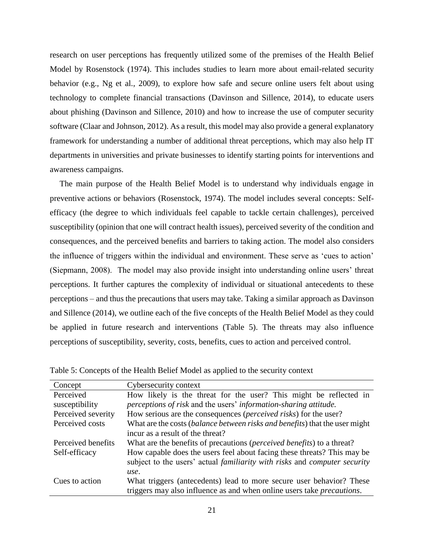research on user perceptions has frequently utilized some of the premises of the Health Belief Model by Rosenstock (1974). This includes studies to learn more about email-related security behavior (e.g., Ng et al., 2009), to explore how safe and secure online users felt about using technology to complete financial transactions (Davinson and Sillence, 2014), to educate users about phishing (Davinson and Sillence, 2010) and how to increase the use of computer security software (Claar and Johnson, 2012). As a result, this model may also provide a general explanatory framework for understanding a number of additional threat perceptions, which may also help IT departments in universities and private businesses to identify starting points for interventions and awareness campaigns.

The main purpose of the Health Belief Model is to understand why individuals engage in preventive actions or behaviors (Rosenstock, 1974). The model includes several concepts: Selfefficacy (the degree to which individuals feel capable to tackle certain challenges), perceived susceptibility (opinion that one will contract health issues), perceived severity of the condition and consequences, and the perceived benefits and barriers to taking action. The model also considers the influence of triggers within the individual and environment. These serve as 'cues to action' (Siepmann, 2008). The model may also provide insight into understanding online users' threat perceptions. It further captures the complexity of individual or situational antecedents to these perceptions – and thus the precautions that users may take. Taking a similar approach as Davinson and Sillence (2014), we outline each of the five concepts of the Health Belief Model as they could be applied in future research and interventions (Table 5). The threats may also influence perceptions of susceptibility, severity, costs, benefits, cues to action and perceived control.

| Concept            | Cybersecurity context                                                                   |
|--------------------|-----------------------------------------------------------------------------------------|
| Perceived          | How likely is the threat for the user? This might be reflected in                       |
| susceptibility     | perceptions of risk and the users' information-sharing attitude.                        |
| Perceived severity | How serious are the consequences ( <i>perceived risks</i> ) for the user?               |
| Perceived costs    | What are the costs (balance between risks and benefits) that the user might             |
|                    | incur as a result of the threat?                                                        |
| Perceived benefits | What are the benefits of precautions (perceived benefits) to a threat?                  |
| Self-efficacy      | How capable does the users feel about facing these threats? This may be                 |
|                    | subject to the users' actual <i>familiarity with risks</i> and <i>computer security</i> |
|                    | use.                                                                                    |
| Cues to action     | What triggers (antecedents) lead to more secure user behavior? These                    |
|                    | triggers may also influence as and when online users take <i>precautions</i> .          |

Table 5: Concepts of the Health Belief Model as applied to the security context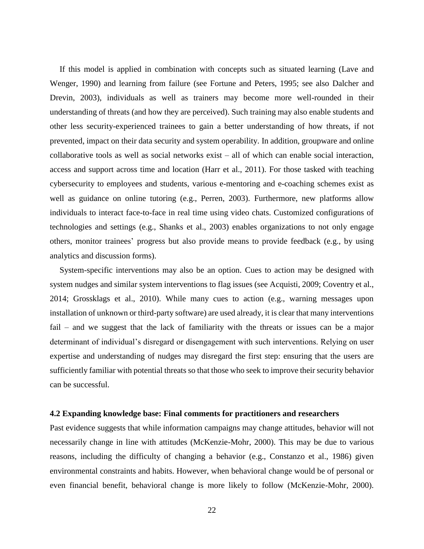If this model is applied in combination with concepts such as situated learning (Lave and Wenger, 1990) and learning from failure (see Fortune and Peters, 1995; see also Dalcher and Drevin, 2003), individuals as well as trainers may become more well-rounded in their understanding of threats (and how they are perceived). Such training may also enable students and other less security-experienced trainees to gain a better understanding of how threats, if not prevented, impact on their data security and system operability. In addition, groupware and online collaborative tools as well as social networks exist – all of which can enable social interaction, access and support across time and location (Harr et al., 2011). For those tasked with teaching cybersecurity to employees and students, various e-mentoring and e-coaching schemes exist as well as guidance on online tutoring (e.g., Perren, 2003). Furthermore, new platforms allow individuals to interact face-to-face in real time using video chats. Customized configurations of technologies and settings (e.g., Shanks et al., 2003) enables organizations to not only engage others, monitor trainees' progress but also provide means to provide feedback (e.g., by using analytics and discussion forms).

System-specific interventions may also be an option. Cues to action may be designed with system nudges and similar system interventions to flag issues (see Acquisti, 2009; Coventry et al., 2014; Grossklags et al., 2010). While many cues to action (e.g., warning messages upon installation of unknown or third-party software) are used already, it is clear that many interventions fail – and we suggest that the lack of familiarity with the threats or issues can be a major determinant of individual's disregard or disengagement with such interventions. Relying on user expertise and understanding of nudges may disregard the first step: ensuring that the users are sufficiently familiar with potential threats so that those who seek to improve their security behavior can be successful.

#### **4.2 Expanding knowledge base: Final comments for practitioners and researchers**

Past evidence suggests that while information campaigns may change attitudes, behavior will not necessarily change in line with attitudes (McKenzie-Mohr, 2000). This may be due to various reasons, including the difficulty of changing a behavior (e.g., Constanzo et al., 1986) given environmental constraints and habits. However, when behavioral change would be of personal or even financial benefit, behavioral change is more likely to follow (McKenzie-Mohr, 2000).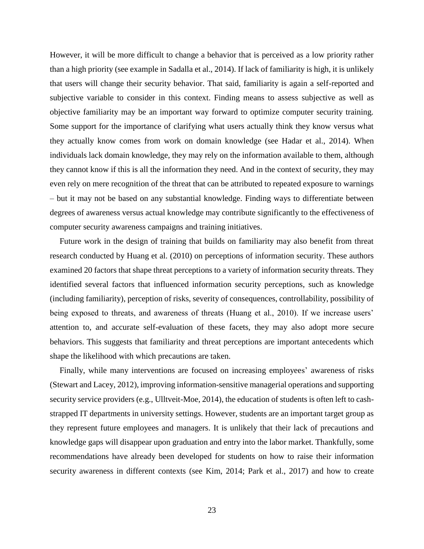However, it will be more difficult to change a behavior that is perceived as a low priority rather than a high priority (see example in Sadalla et al., 2014). If lack of familiarity is high, it is unlikely that users will change their security behavior. That said, familiarity is again a self-reported and subjective variable to consider in this context. Finding means to assess subjective as well as objective familiarity may be an important way forward to optimize computer security training. Some support for the importance of clarifying what users actually think they know versus what they actually know comes from work on domain knowledge (see Hadar et al., 2014). When individuals lack domain knowledge, they may rely on the information available to them, although they cannot know if this is all the information they need. And in the context of security, they may even rely on mere recognition of the threat that can be attributed to repeated exposure to warnings – but it may not be based on any substantial knowledge. Finding ways to differentiate between degrees of awareness versus actual knowledge may contribute significantly to the effectiveness of computer security awareness campaigns and training initiatives.

Future work in the design of training that builds on familiarity may also benefit from threat research conducted by Huang et al. (2010) on perceptions of information security. These authors examined 20 factors that shape threat perceptions to a variety of information security threats. They identified several factors that influenced information security perceptions, such as knowledge (including familiarity), perception of risks, severity of consequences, controllability, possibility of being exposed to threats, and awareness of threats (Huang et al., 2010). If we increase users' attention to, and accurate self-evaluation of these facets, they may also adopt more secure behaviors. This suggests that familiarity and threat perceptions are important antecedents which shape the likelihood with which precautions are taken.

Finally, while many interventions are focused on increasing employees' awareness of risks (Stewart and Lacey, 2012), improving information-sensitive managerial operations and supporting security service providers (e.g., Ulltveit-Moe, 2014), the education of students is often left to cashstrapped IT departments in university settings. However, students are an important target group as they represent future employees and managers. It is unlikely that their lack of precautions and knowledge gaps will disappear upon graduation and entry into the labor market. Thankfully, some recommendations have already been developed for students on how to raise their information security awareness in different contexts (see Kim, 2014; Park et al., 2017) and how to create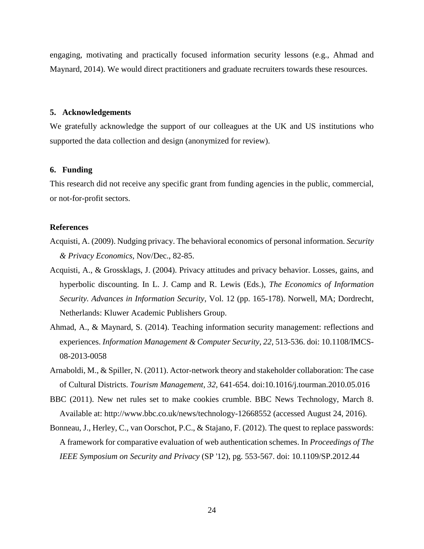engaging, motivating and practically focused information security lessons (e.g., Ahmad and Maynard, 2014). We would direct practitioners and graduate recruiters towards these resources.

### **5. Acknowledgements**

We gratefully acknowledge the support of our colleagues at the UK and US institutions who supported the data collection and design (anonymized for review).

### **6. Funding**

This research did not receive any specific grant from funding agencies in the public, commercial, or not-for-profit sectors.

#### **References**

- Acquisti, A. (2009). Nudging privacy. The behavioral economics of personal information. *Security & Privacy Economics,* Nov/Dec., 82-85.
- Acquisti, A., & Grossklags, J. (2004). Privacy attitudes and privacy behavior. Losses, gains, and hyperbolic discounting. In L. J. Camp and R. Lewis (Eds.), *The Economics of Information Security. Advances in Information Security*, Vol. 12 (pp. 165-178). Norwell, MA; Dordrecht, Netherlands: Kluwer Academic Publishers Group.
- Ahmad, A., & Maynard, S. (2014). Teaching information security management: reflections and experiences. *Information Management & Computer Security, 22*, 513-536. doi: 10.1108/IMCS-08-2013-0058
- Arnaboldi, M., & Spiller, N. (2011). Actor-network theory and stakeholder collaboration: The case of Cultural Districts. *Tourism Management, 32,* 641-654. doi:10.1016/j.tourman.2010.05.016
- BBC (2011). New net rules set to make cookies crumble. BBC News Technology, March 8. Available at: http://www.bbc.co.uk/news/technology-12668552 (accessed August 24, 2016).
- Bonneau, J., Herley, C., van Oorschot, P.C., & Stajano, F. (2012). The quest to replace passwords: A framework for comparative evaluation of web authentication schemes. In *Proceedings of The IEEE Symposium on Security and Privacy* (SP '12), pg. 553-567. doi: 10.1109/SP.2012.44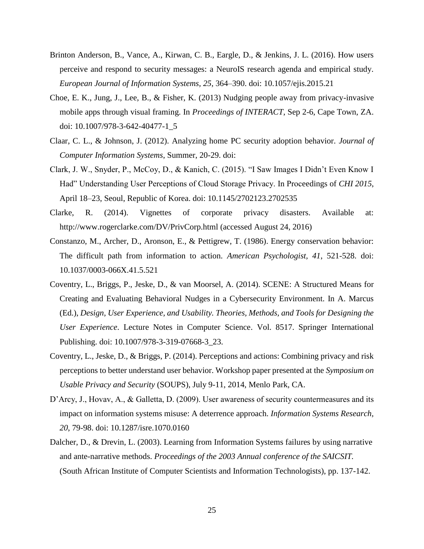- Brinton Anderson, B., Vance, A., Kirwan, C. B., Eargle, D., & Jenkins, J. L. (2016). How users perceive and respond to security messages: a NeuroIS research agenda and empirical study. *European Journal of Information Systems, 25*, 364–390. doi: 10.1057/ejis.2015.21
- Choe, E. K., Jung, J., Lee, B., & Fisher, K. (2013) Nudging people away from privacy-invasive mobile apps through visual framing. In *Proceedings of INTERACT*, Sep 2-6, Cape Town, ZA. doi: 10.1007/978-3-642-40477-1\_5
- Claar, C. L., & Johnson, J. (2012). Analyzing home PC security adoption behavior. *Journal of Computer Information Systems*, Summer, 20-29. doi:
- Clark, J. W., Snyder, P., McCoy, D., & Kanich, C. (2015). "I Saw Images I Didn't Even Know I Had" Understanding User Perceptions of Cloud Storage Privacy. In Proceedings of *CHI 2015*, April 18–23, Seoul, Republic of Korea. doi: 10.1145/2702123.2702535
- Clarke, R. (2014). Vignettes of corporate privacy disasters. Available at: http://www.rogerclarke.com/DV/PrivCorp.html (accessed August 24, 2016)
- Constanzo, M., Archer, D., Aronson, E., & Pettigrew, T. (1986). Energy conservation behavior: The difficult path from information to action. *American Psychologist, 41*, 521-528. doi: 10.1037/0003-066X.41.5.521
- Coventry, L., Briggs, P., Jeske, D., & van Moorsel, A. (2014). SCENE: A Structured Means for Creating and Evaluating Behavioral Nudges in a Cybersecurity Environment. In A. Marcus (Ed.), *Design, User Experience, and Usability. Theories, Methods, and Tools for Designing the User Experience*. Lecture Notes in Computer Science. Vol. 8517. Springer International Publishing. doi: 10.1007/978-3-319-07668-3\_23.
- Coventry, L., Jeske, D., & Briggs, P. (2014). Perceptions and actions: Combining privacy and risk perceptions to better understand user behavior. Workshop paper presented at the *Symposium on Usable Privacy and Security* (SOUPS), July 9-11, 2014, Menlo Park, CA.
- D'Arcy, J., Hovav, A., & Galletta, D. (2009). User awareness of security countermeasures and its impact on information systems misuse: A deterrence approach. *Information Systems Research, 20*, 79-98. doi: 10.1287/isre.1070.0160
- Dalcher, D., & Drevin, L. (2003). Learning from Information Systems failures by using narrative and ante-narrative methods. *Proceedings of the 2003 Annual conference of the SAICSIT.*  (South African Institute of Computer Scientists and Information Technologists), pp. 137-142.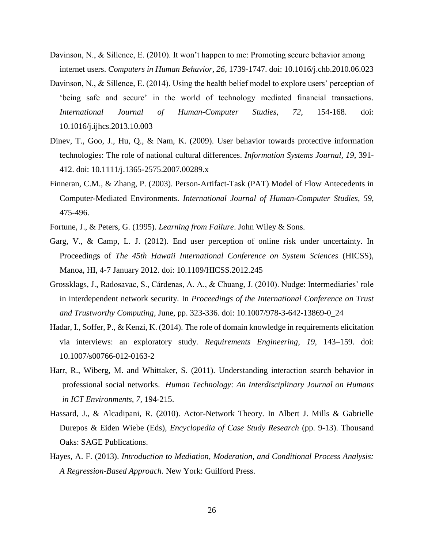- Davinson, N., & Sillence, E. (2010). It won't happen to me: Promoting secure behavior among internet users. *Computers in Human Behavior, 26*, 1739-1747. doi: 10.1016/j.chb.2010.06.023
- Davinson, N., & Sillence, E. (2014). Using the health belief model to explore users' perception of 'being safe and secure' in the world of technology mediated financial transactions*. International Journal of Human-Computer Studies, 72*, 154-168. doi: 10.1016/j.ijhcs.2013.10.003
- Dinev, T., Goo, J., Hu, Q., & Nam, K. (2009). User behavior towards protective information technologies: The role of national cultural differences. *Information Systems Journal, 19*, 391- 412. doi: 10.1111/j.1365-2575.2007.00289.x
- Finneran, C.M., & Zhang, P. (2003). Person-Artifact-Task (PAT) Model of Flow Antecedents in Computer-Mediated Environments. *International Journal of Human-Computer Studies*, *59*, 475-496.
- Fortune, J., & Peters, G. (1995). *Learning from Failure*. John Wiley & Sons.
- Garg, V., & Camp, L. J. (2012). End user perception of online risk under uncertainty. In Proceedings of *The 45th Hawaii International Conference on System Sciences* (HICSS), Manoa, HI, 4-7 January 2012. doi: 10.1109/HICSS.2012.245
- Grossklags, J., Radosavac, S., Cárdenas, A. A., & Chuang, J. (2010). Nudge: Intermediaries' role in interdependent network security. In *Proceedings of the International Conference on Trust and Trustworthy Computing*, June, pp. 323-336. doi: 10.1007/978-3-642-13869-0\_24
- Hadar, I., Soffer, P., & Kenzi, K. (2014). The role of domain knowledge in requirements elicitation via interviews: an exploratory study. *Requirements Engineering*, *19*, 143–159. doi: 10.1007/s00766-012-0163-2
- Harr, R., Wiberg, M. and Whittaker, S. (2011). Understanding interaction search behavior in professional social networks. *Human Technology: An Interdisciplinary Journal on Humans in ICT Environments, 7,* 194-215.
- Hassard, J., & Alcadipani, R. (2010). Actor-Network Theory. In Albert J. Mills & Gabrielle Durepos & Eiden Wiebe (Eds), *Encyclopedia of Case Study Research* (pp. 9-13). Thousand Oaks: SAGE Publications.
- Hayes, A. F. (2013). *Introduction to Mediation, Moderation, and Conditional Process Analysis: A Regression-Based Approach.* New York: Guilford Press.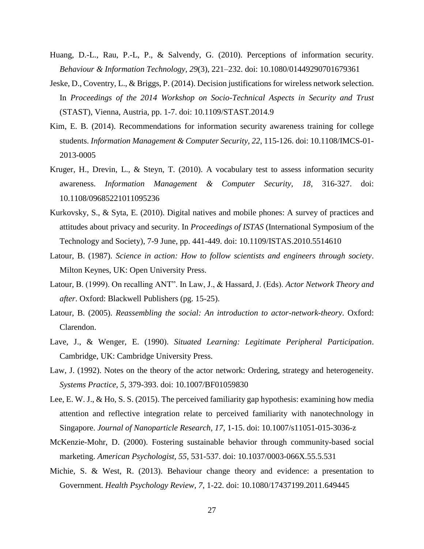- Huang, D.-L., Rau, P.-L, P., & Salvendy, G. (2010). Perceptions of information security. *Behaviour & Information Technology, 29*(3), 221–232. doi: 10.1080/01449290701679361
- Jeske, D., Coventry, L., & Briggs, P. (2014). Decision justifications for wireless network selection. In *Proceedings of the 2014 Workshop on Socio-Technical Aspects in Security and Trust* (STAST), Vienna, Austria, pp. 1-7. doi: 10.1109/STAST.2014.9
- Kim, E. B. (2014). Recommendations for information security awareness training for college students. *Information Management & Computer Security, 22*, 115-126. doi: 10.1108/IMCS-01- 2013-0005
- Kruger, H., Drevin, L., & Steyn, T. (2010). A vocabulary test to assess information security awareness. *Information Management & Computer Security, 18*, 316-327. doi: 10.1108/09685221011095236
- Kurkovsky, S., & Syta, E. (2010). Digital natives and mobile phones: A survey of practices and attitudes about privacy and security. In *Proceedings of ISTAS* (International Symposium of the Technology and Society), 7-9 June, pp. 441-449. doi: 10.1109/ISTAS.2010.5514610
- Latour, B. (1987). *Science in action: How to follow scientists and engineers through society*. Milton Keynes, UK: Open University Press.
- Latour, B. (1999). On recalling ANT". In Law, J., & Hassard, J. (Eds). *Actor Network Theory and after*. Oxford: Blackwell Publishers (pg. 15-25).
- Latour, B. (2005). *Reassembling the social: An introduction to actor-network-theory*. Oxford: Clarendon.
- Lave, J., & Wenger, E. (1990). *Situated Learning: Legitimate Peripheral Participation*. Cambridge, UK: Cambridge University Press.
- Law, J. (1992). Notes on the theory of the actor network: Ordering, strategy and heterogeneity. *Systems Practice, 5*, 379-393. doi: 10.1007/BF01059830
- Lee, E. W. J., & Ho, S. S. (2015). The perceived familiarity gap hypothesis: examining how media attention and reflective integration relate to perceived familiarity with nanotechnology in Singapore. *Journal of Nanoparticle Research, 17*, 1-15. doi: 10.1007/s11051-015-3036-z
- McKenzie-Mohr, D. (2000). Fostering sustainable behavior through community-based social marketing. *American Psychologist, 55*, 531-537. doi: 10.1037/0003-066X.55.5.531
- Michie, S. & West, R. (2013). Behaviour change theory and evidence: a presentation to Government. *Health Psychology Review, 7*, 1-22. doi: 10.1080/17437199.2011.649445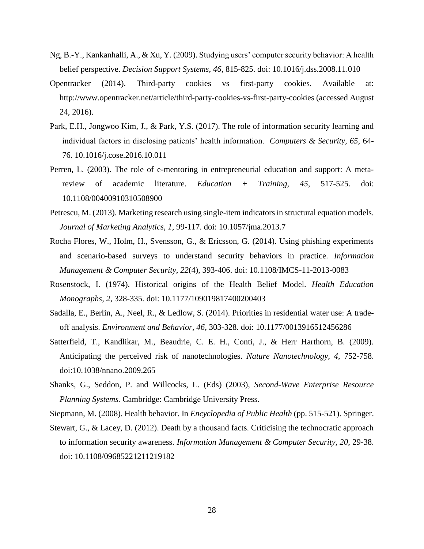- Ng, B.-Y., Kankanhalli, A., & Xu, Y. (2009). Studying users' computer security behavior: A health belief perspective. *Decision Support Systems, 46*, 815-825. doi: 10.1016/j.dss.2008.11.010
- Opentracker (2014). Third-party cookies vs first-party cookies. Available at: http://www.opentracker.net/article/third-party-cookies-vs-first-party-cookies (accessed August 24, 2016).
- Park, E.H., Jongwoo Kim, J., & Park, Y.S. (2017). The role of information security learning and individual factors in disclosing patients' health information. *Computers & Security, 65*, 64- 76. 10.1016/j.cose.2016.10.011
- Perren, L. (2003). The role of e-mentoring in entrepreneurial education and support: A metareview of academic literature. *Education + Training, 45,* 517-525. doi: 10.1108/00400910310508900
- Petrescu, M. (2013). Marketing research using single-item indicators in structural equation models. *Journal of Marketing Analytics, 1*, 99-117. doi: 10.1057/jma.2013.7
- Rocha Flores, W., Holm, H., Svensson, G., & Ericsson, G. (2014). Using phishing experiments and scenario-based surveys to understand security behaviors in practice. *Information Management & Computer Security*, *22*(4), 393-406. doi: 10.1108/IMCS-11-2013-0083
- Rosenstock, I. (1974). Historical origins of the Health Belief Model. *Health Education Monographs, 2*, 328-335. doi: 10.1177/109019817400200403
- Sadalla, E., Berlin, A., Neel, R., & Ledlow, S. (2014). Priorities in residential water use: A tradeoff analysis. *Environment and Behavior, 46*, 303-328. doi: 10.1177/0013916512456286
- Satterfield, T., Kandlikar, M., Beaudrie, C. E. H., Conti, J., & Herr Harthorn, B. (2009). Anticipating the perceived risk of nanotechnologies. *Nature Nanotechnology, 4*, 752-758. doi:10.1038/nnano.2009.265
- Shanks, G., Seddon, P. and Willcocks, L. (Eds) (2003), *Second-Wave Enterprise Resource Planning Systems.* Cambridge: Cambridge University Press.
- Siepmann, M. (2008). Health behavior. In *Encyclopedia of Public Health* (pp. 515-521). Springer.
- Stewart, G., & Lacey, D. (2012). Death by a thousand facts. Criticising the technocratic approach to information security awareness. *Information Management & Computer Security, 20*, 29-38. doi: 10.1108/09685221211219182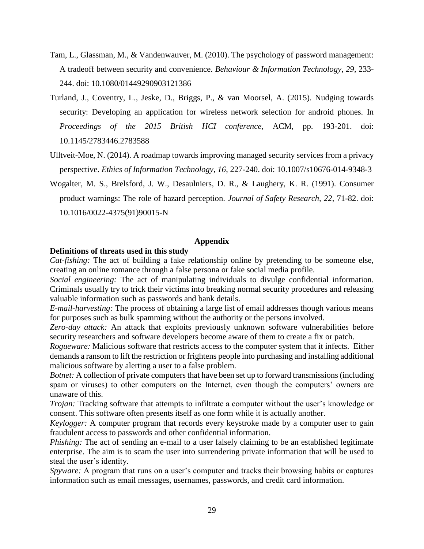- Tam, L., Glassman, M., & Vandenwauver, M. (2010). The psychology of password management: A tradeoff between security and convenience. *Behaviour & Information Technology, 29*, 233- 244. doi: 10.1080/01449290903121386
- Turland, J., Coventry, L., Jeske, D., Briggs, P., & van Moorsel, A. (2015). Nudging towards security: Developing an application for wireless network selection for android phones. In *Proceedings of the 2015 British HCI conference*, ACM, pp. 193-201. doi: 10.1145/2783446.2783588
- Ulltveit-Moe, N. (2014). A roadmap towards improving managed security services from a privacy perspective. *Ethics of Information Technology, 16*, 227-240. doi: 10.1007/s10676-014-9348-3
- Wogalter, M. S., Brelsford, J. W., Desaulniers, D. R., & Laughery, K. R. (1991). Consumer product warnings: The role of hazard perception. *Journal of Safety Research, 22*, 71-82. doi: 10.1016/0022-4375(91)90015-N

### **Appendix**

### **Definitions of threats used in this study**

*Cat-fishing:* The act of building a fake relationship online by pretending to be someone else, creating an online romance through a false persona or fake social media profile.

*Social engineering:* The act of manipulating individuals to divulge confidential information. Criminals usually try to trick their victims into breaking normal security procedures and releasing valuable information such as passwords and bank details.

*E-mail-harvesting:* The process of obtaining a large list of email addresses though various means for purposes such as bulk spamming without the authority or the persons involved.

*Zero-day attack:* An attack that exploits previously unknown software vulnerabilities before security researchers and software developers become aware of them to create a fix or patch.

*Rogueware:* Malicious software that restricts access to the computer system that it infects. Either demands a ransom to lift the restriction or frightens people into purchasing and installing additional malicious software by alerting a user to a false problem.

*Botnet:* A collection of private computers that have been set up to forward transmissions (including spam or viruses) to other computers on the Internet, even though the computers' owners are unaware of this.

*Trojan:* Tracking software that attempts to infiltrate a computer without the user's knowledge or consent. This software often presents itself as one form while it is actually another.

*Keylogger:* A computer program that records every keystroke made by a computer user to gain fraudulent access to passwords and other confidential information.

*Phishing:* The act of sending an e-mail to a user falsely claiming to be an established legitimate enterprise. The aim is to scam the user into surrendering private information that will be used to steal the user's identity.

*Spyware:* A program that runs on a user's computer and tracks their browsing habits or captures information such as email messages, usernames, passwords, and credit card information.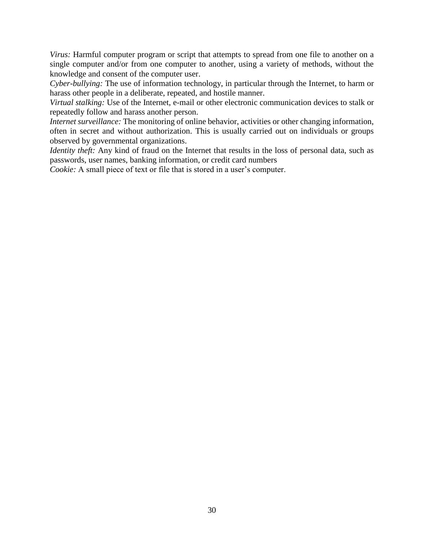*Virus:* Harmful computer program or script that attempts to spread from one file to another on a single computer and/or from one computer to another, using a variety of methods, without the knowledge and consent of the computer user.

*Cyber-bullying:* The use of information technology, in particular through the Internet, to harm or harass other people in a deliberate, repeated, and hostile manner.

*Virtual stalking:* Use of the Internet, e-mail or other electronic communication devices to stalk or repeatedly follow and harass another person.

*Internet surveillance:* The monitoring of online behavior, activities or other changing information, often in secret and without authorization. This is usually carried out on individuals or groups observed by governmental organizations.

*Identity theft:* Any kind of fraud on the Internet that results in the loss of personal data, such as passwords, user names, banking information, or credit card numbers

*Cookie:* A small piece of text or file that is stored in a user's computer.